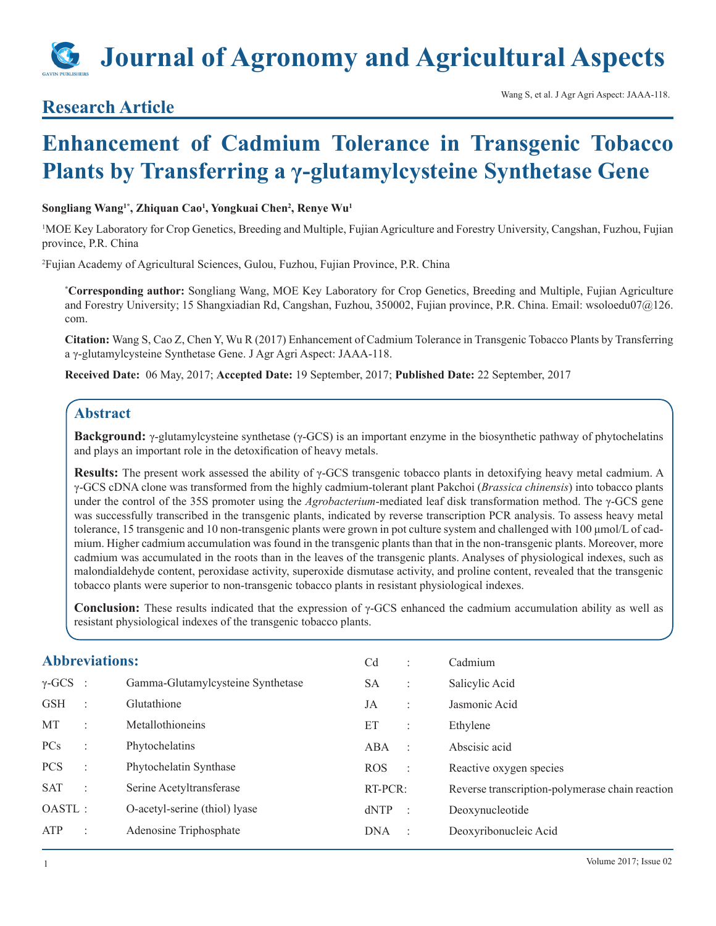# **Journal of Agronomy and Agricultural Aspects**

## **Research Article**

Wang S, et al. J Agr Agri Aspect: JAAA-118.

## **Enhancement of Cadmium Tolerance in Transgenic Tobacco Plants by Transferring a γ-glutamylcysteine Synthetase Gene**

## **Songliang Wang1\*, Zhiquan Cao1 , Yongkuai Chen2 , Renye Wu<sup>1</sup>**

1 MOE Key Laboratory for Crop Genetics, Breeding and Multiple, Fujian Agriculture and Forestry University, Cangshan, Fuzhou, Fujian province, P.R. China

2 Fujian Academy of Agricultural Sciences, Gulou, Fuzhou, Fujian Province, P.R. China

**\* Corresponding author:** Songliang Wang, MOE Key Laboratory for Crop Genetics, Breeding and Multiple, Fujian Agriculture and Forestry University; 15 Shangxiadian Rd, Cangshan, Fuzhou, 350002, Fujian province, P.R. China. Email: wsoloedu07@126. com.

**Citation:** Wang S, Cao Z, Chen Y, Wu R (2017) Enhancement of Cadmium Tolerance in Transgenic Tobacco Plants by Transferring a γ-glutamylcysteine Synthetase Gene. J Agr Agri Aspect: JAAA-118.

**Received Date:** 06 May, 2017; **Accepted Date:** 19 September, 2017; **Published Date:** 22 September, 2017

## **Abstract**

**Background:** γ-glutamylcysteine synthetase (γ-GCS) is an important enzyme in the biosynthetic pathway of phytochelatins and plays an important role in the detoxification of heavy metals.

**Results:** The present work assessed the ability of γ-GCS transgenic tobacco plants in detoxifying heavy metal cadmium. A γ-GCS cDNA clone was transformed from the highly cadmium-tolerant plant Pakchoi (*Brassica chinensis*) into tobacco plants under the control of the 35S promoter using the *Agrobacterium*-mediated leaf disk transformation method. The γ-GCS gene was successfully transcribed in the transgenic plants, indicated by reverse transcription PCR analysis. To assess heavy metal tolerance, 15 transgenic and 10 non-transgenic plants were grown in pot culture system and challenged with 100 μmol/L of cadmium. Higher cadmium accumulation was found in the transgenic plants than that in the non-transgenic plants. Moreover, more cadmium was accumulated in the roots than in the leaves of the transgenic plants. Analyses of physiological indexes, such as malondialdehyde content, peroxidase activity, superoxide dismutase activity, and proline content, revealed that the transgenic tobacco plants were superior to non-transgenic tobacco plants in resistant physiological indexes.

**Conclusion:** These results indicated that the expression of γ-GCS enhanced the cadmium accumulation ability as well as resistant physiological indexes of the transgenic tobacco plants.

| <b>Abbreviations:</b> |                      | Cd                                | $\bullet$  | Cadmium             |                                                 |
|-----------------------|----------------------|-----------------------------------|------------|---------------------|-------------------------------------------------|
| $\gamma$ -GCS         | $\ddot{\phantom{1}}$ | Gamma-Glutamylcysteine Synthetase | <b>SA</b>  |                     | Salicylic Acid                                  |
| <b>GSH</b>            | $\mathbb{R}^2$       | Glutathione                       | JA         | ÷                   | Jasmonic Acid                                   |
| МT                    | $\ddot{\phantom{a}}$ | Metallothioneins                  | ET         | ÷                   | Ethylene                                        |
| <b>PCs</b>            | $\ddot{\phantom{a}}$ | Phytochelatins                    | ABA        |                     | Abscisic acid                                   |
| <b>PCS</b>            | $\therefore$         | Phytochelatin Synthase            | <b>ROS</b> | $\mathbb{R}^2$      | Reactive oxygen species                         |
| <b>SAT</b>            | $\pm$                | Serine Acetyltransferase          | RT-PCR:    |                     | Reverse transcription-polymerase chain reaction |
| OASTL:                |                      | O-acetyl-serine (thiol) lyase     | dNTP       | $\dot{\mathcal{L}}$ | Deoxynucleotide                                 |
| ATP                   | $\pm$                | Adenosine Triphosphate            | <b>DNA</b> | $\cdot$             | Deoxyribonucleic Acid                           |
|                       |                      |                                   |            |                     |                                                 |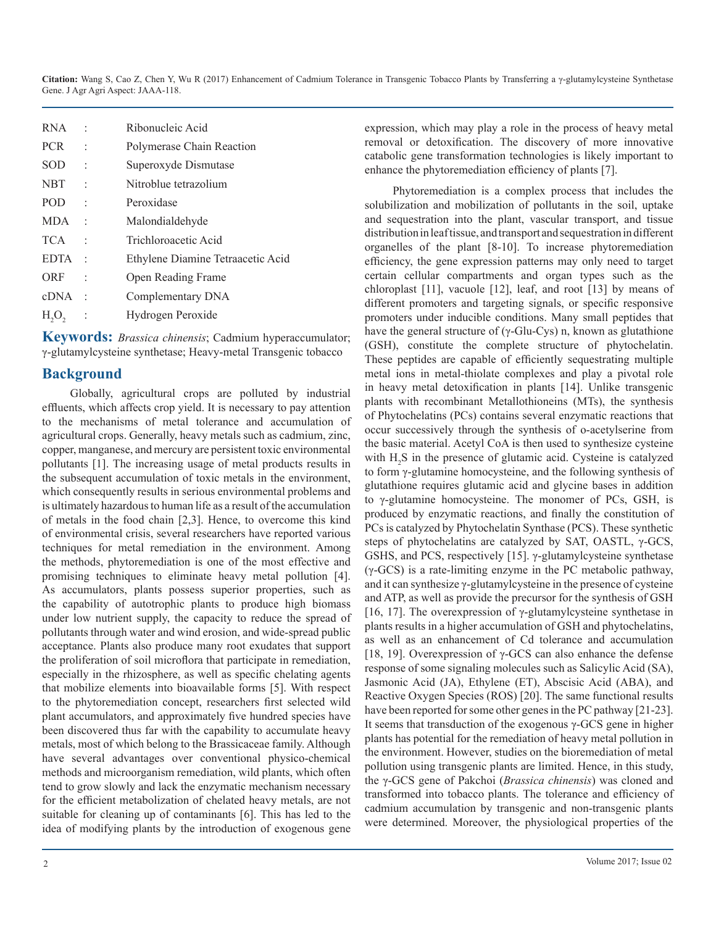| RNA                           |                          | Ribonucleic Acid                  |
|-------------------------------|--------------------------|-----------------------------------|
| PCR.                          |                          | Polymerase Chain Reaction         |
| SOD                           | ÷.                       | Superoxyde Dismutase              |
| <b>NBT</b>                    |                          | Nitroblue tetrazolium             |
| <b>POD</b>                    | ÷                        | Peroxidase                        |
| MDA.                          | $\overline{\phantom{a}}$ | Malondialdehyde                   |
| TCA.                          |                          | Trichloroacetic Acid              |
| EDTA                          | $\sim$                   | Ethylene Diamine Tetraacetic Acid |
| ORF                           |                          | Open Reading Frame                |
| cDNA :                        |                          | Complementary DNA                 |
| H <sub>2</sub> O <sub>2</sub> |                          | Hydrogen Peroxide                 |
|                               |                          |                                   |

**Keywords:** *Brassica chinensis*; Cadmium hyperaccumulator; γ-glutamylcysteine synthetase; Heavy-metal Transgenic tobacco

## **Background**

Globally, agricultural crops are polluted by industrial effluents, which affects crop yield. It is necessary to pay attention to the mechanisms of metal tolerance and accumulation of agricultural crops. Generally, heavy metals such as cadmium, zinc, copper, manganese, and mercury are persistent toxic environmental pollutants [1]. The increasing usage of metal products results in the subsequent accumulation of toxic metals in the environment, which consequently results in serious environmental problems and is ultimately hazardous to human life as a result of the accumulation of metals in the food chain [2,3]. Hence, to overcome this kind of environmental crisis, several researchers have reported various techniques for metal remediation in the environment. Among the methods, phytoremediation is one of the most effective and promising techniques to eliminate heavy metal pollution [4]. As accumulators, plants possess superior properties, such as the capability of autotrophic plants to produce high biomass under low nutrient supply, the capacity to reduce the spread of pollutants through water and wind erosion, and wide-spread public acceptance. Plants also produce many root exudates that support the proliferation of soil microflora that participate in remediation, especially in the rhizosphere, as well as specific chelating agents that mobilize elements into bioavailable forms [5]. With respect to the phytoremediation concept, researchers first selected wild plant accumulators, and approximately five hundred species have been discovered thus far with the capability to accumulate heavy metals, most of which belong to the Brassicaceae family. Although have several advantages over conventional physico-chemical methods and microorganism remediation, wild plants, which often tend to grow slowly and lack the enzymatic mechanism necessary for the efficient metabolization of chelated heavy metals, are not suitable for cleaning up of contaminants [6]. This has led to the idea of modifying plants by the introduction of exogenous gene

expression, which may play a role in the process of heavy metal removal or detoxification. The discovery of more innovative catabolic gene transformation technologies is likely important to enhance the phytoremediation efficiency of plants [7].

Phytoremediation is a complex process that includes the solubilization and mobilization of pollutants in the soil, uptake and sequestration into the plant, vascular transport, and tissue distribution in leaf tissue, and transport and sequestration in different organelles of the plant [8-10]. To increase phytoremediation efficiency, the gene expression patterns may only need to target certain cellular compartments and organ types such as the chloroplast [11], vacuole [12], leaf, and root [13] by means of different promoters and targeting signals, or specific responsive promoters under inducible conditions. Many small peptides that have the general structure of (γ-Glu-Cys) n, known as glutathione (GSH), constitute the complete structure of phytochelatin. These peptides are capable of efficiently sequestrating multiple metal ions in metal-thiolate complexes and play a pivotal role in heavy metal detoxification in plants [14]. Unlike transgenic plants with recombinant Metallothioneins (MTs), the synthesis of Phytochelatins (PCs) contains several enzymatic reactions that occur successively through the synthesis of o-acetylserine from the basic material. Acetyl CoA is then used to synthesize cysteine with  $H_2S$  in the presence of glutamic acid. Cysteine is catalyzed to form γ-glutamine homocysteine, and the following synthesis of glutathione requires glutamic acid and glycine bases in addition to γ-glutamine homocysteine. The monomer of PCs, GSH, is produced by enzymatic reactions, and finally the constitution of PCs is catalyzed by Phytochelatin Synthase (PCS). These synthetic steps of phytochelatins are catalyzed by SAT, OASTL, γ-GCS, GSHS, and PCS, respectively [15]. γ-glutamylcysteine synthetase (γ-GCS) is a rate-limiting enzyme in the PC metabolic pathway, and it can synthesize γ-glutamylcysteine in the presence of cysteine and ATP, as well as provide the precursor for the synthesis of GSH [16, 17]. The overexpression of  $\gamma$ -glutamylcysteine synthetase in plants results in a higher accumulation of GSH and phytochelatins, as well as an enhancement of Cd tolerance and accumulation [18, 19]. Overexpression of γ-GCS can also enhance the defense response of some signaling molecules such as Salicylic Acid (SA), Jasmonic Acid (JA), Ethylene (ET), Abscisic Acid (ABA), and Reactive Oxygen Species (ROS) [20]. The same functional results have been reported for some other genes in the PC pathway [21-23]. It seems that transduction of the exogenous γ-GCS gene in higher plants has potential for the remediation of heavy metal pollution in the environment. However, studies on the bioremediation of metal pollution using transgenic plants are limited. Hence, in this study, the γ-GCS gene of Pakchoi (*Brassica chinensis*) was cloned and transformed into tobacco plants. The tolerance and efficiency of cadmium accumulation by transgenic and non-transgenic plants were determined. Moreover, the physiological properties of the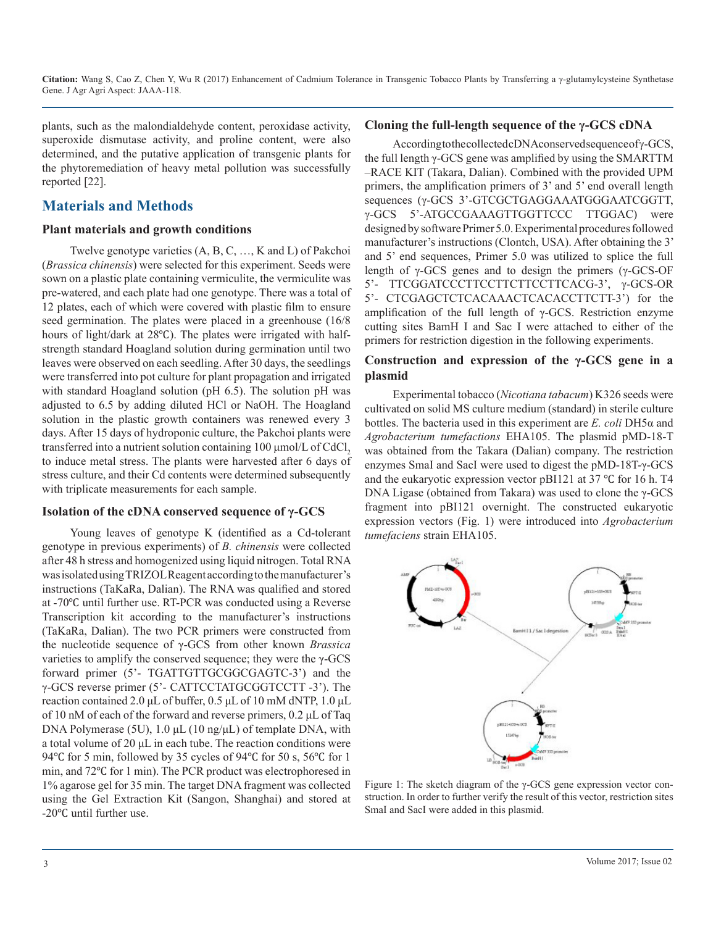plants, such as the malondialdehyde content, peroxidase activity, superoxide dismutase activity, and proline content, were also determined, and the putative application of transgenic plants for the phytoremediation of heavy metal pollution was successfully reported [22].

## **Materials and Methods**

#### **Plant materials and growth conditions**

Twelve genotype varieties (A, B, C, …, K and L) of Pakchoi (*Brassica chinensis*) were selected for this experiment. Seeds were sown on a plastic plate containing vermiculite, the vermiculite was pre-watered, and each plate had one genotype. There was a total of 12 plates, each of which were covered with plastic film to ensure seed germination. The plates were placed in a greenhouse (16/8 hours of light/dark at 28℃). The plates were irrigated with halfstrength standard Hoagland solution during germination until two leaves were observed on each seedling. After 30 days, the seedlings were transferred into pot culture for plant propagation and irrigated with standard Hoagland solution (pH 6.5). The solution pH was adjusted to 6.5 by adding diluted HCl or NaOH. The Hoagland solution in the plastic growth containers was renewed every 3 days. After 15 days of hydroponic culture, the Pakchoi plants were transferred into a nutrient solution containing 100 μmol/L of CdCl, to induce metal stress. The plants were harvested after 6 days of stress culture, and their Cd contents were determined subsequently with triplicate measurements for each sample.

#### **Isolation of the cDNA conserved sequence of γ-GCS**

Young leaves of genotype K (identified as a Cd-tolerant genotype in previous experiments) of *B. chinensis* were collected after 48 h stress and homogenized using liquid nitrogen. Total RNA was isolated using TRIZOL Reagent according to the manufacturer's instructions (TaKaRa, Dalian). The RNA was qualified and stored at -70℃ until further use. RT-PCR was conducted using a Reverse Transcription kit according to the manufacturer's instructions (TaKaRa, Dalian). The two PCR primers were constructed from the nucleotide sequence of γ-GCS from other known *Brassica* varieties to amplify the conserved sequence; they were the  $\gamma$ -GCS forward primer (5'- TGATTGTTGCGGCGAGTC-3') and the γ-GCS reverse primer (5'- CATTCCTATGCGGTCCTT -3'). The reaction contained 2.0 μL of buffer, 0.5 μL of 10 mM dNTP, 1.0 μL of 10 nM of each of the forward and reverse primers, 0.2 μL of Taq DNA Polymerase (5U), 1.0 μL (10 ng/μL) of template DNA, with a total volume of 20 μL in each tube. The reaction conditions were 94°C for 5 min, followed by 35 cycles of 94°C for 50 s, 56°C for 1 min, and 72℃ for 1 min). The PCR product was electrophoresed in 1% agarose gel for 35 min. The target DNA fragment was collected using the Gel Extraction Kit (Sangon, Shanghai) and stored at -20℃ until further use.

#### **Cloning the full-length sequence of the γ-GCS cDNA**

According to the collected cDNA conserved sequence of γ-GCS, the full length γ-GCS gene was amplified by using the SMARTTM –RACE KIT (Takara, Dalian). Combined with the provided UPM primers, the amplification primers of 3' and 5' end overall length sequences (γ-GCS 3'-GTCGCTGAGGAAATGGGAATCGGTT, γ-GCS 5'-ATGCCGAAAGTTGGTTCCC TTGGAC) were designed by software Primer 5.0. Experimental procedures followed manufacturer's instructions (Clontch, USA). After obtaining the 3' and 5' end sequences, Primer 5.0 was utilized to splice the full length of γ-GCS genes and to design the primers (γ-GCS-OF 5'- TTCGGATCCCTTCCTTCTTCCTTCACG-3', γ-GCS-OR 5'- CTCGAGCTCTCACAAACTCACACCTTCTT-3') for the amplification of the full length of γ-GCS. Restriction enzyme cutting sites BamH I and Sac I were attached to either of the primers for restriction digestion in the following experiments.

## **Construction and expression of the γ-GCS gene in a plasmid**

Experimental tobacco (*Nicotiana tabacum*) K326 seeds were cultivated on solid MS culture medium (standard) in sterile culture bottles. The bacteria used in this experiment are *E. coli* DH5α and *Agrobacterium tumefactions* EHA105. The plasmid pMD-18-T was obtained from the Takara (Dalian) company. The restriction enzymes SmaI and SacI were used to digest the pMD-18T-γ-GCS and the eukaryotic expression vector pBI121 at 37 ℃ for 16 h. T4 DNA Ligase (obtained from Takara) was used to clone the γ-GCS fragment into pBI121 overnight. The constructed eukaryotic expression vectors (Fig. 1) were introduced into *Agrobacterium tumefaciens* strain EHA105.



Figure 1: The sketch diagram of the γ-GCS gene expression vector construction. In order to further verify the result of this vector, restriction sites SmaI and SacI were added in this plasmid.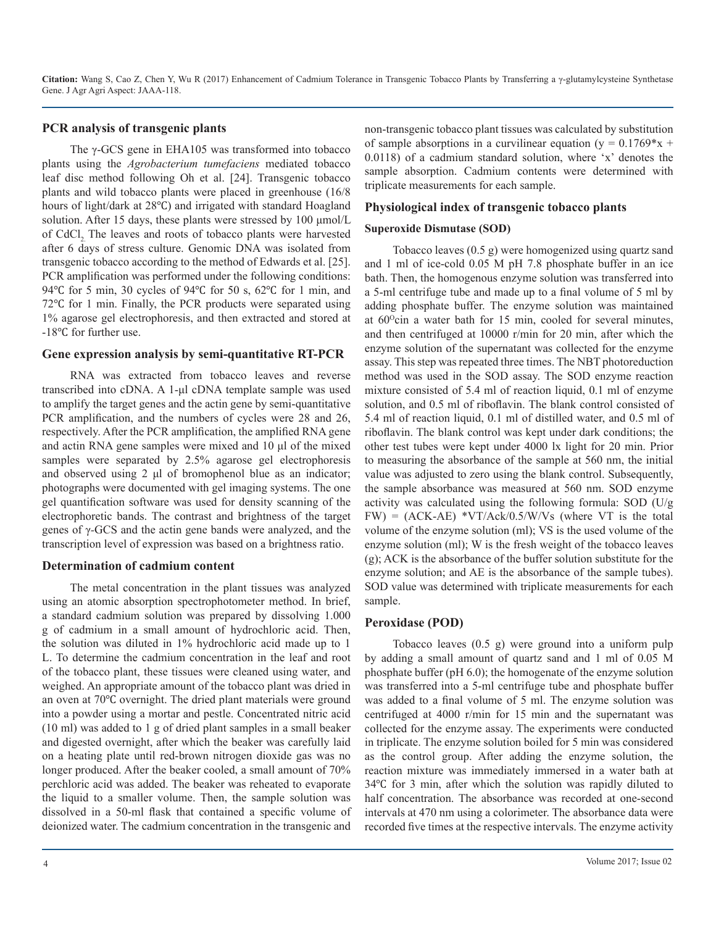#### **PCR analysis of transgenic plants**

The γ-GCS gene in EHA105 was transformed into tobacco plants using the *Agrobacterium tumefaciens* mediated tobacco leaf disc method following Oh et al. [24]. Transgenic tobacco plants and wild tobacco plants were placed in greenhouse (16/8 hours of light/dark at 28℃) and irrigated with standard Hoagland solution. After 15 days, these plants were stressed by 100 μmol/L of CdCl<sub>2</sub>. The leaves and roots of tobacco plants were harvested after 6 days of stress culture. Genomic DNA was isolated from transgenic tobacco according to the method of Edwards et al. [25]. PCR amplification was performed under the following conditions: 94°C for 5 min, 30 cycles of 94°C for 50 s, 62°C for 1 min, and 72℃ for 1 min. Finally, the PCR products were separated using 1% agarose gel electrophoresis, and then extracted and stored at -18℃ for further use.

#### **Gene expression analysis by semi-quantitative RT-PCR**

RNA was extracted from tobacco leaves and reverse transcribed into cDNA. A 1-μl cDNA template sample was used to amplify the target genes and the actin gene by semi-quantitative PCR amplification, and the numbers of cycles were 28 and 26, respectively. After the PCR amplification, the amplified RNA gene and actin RNA gene samples were mixed and 10 μl of the mixed samples were separated by 2.5% agarose gel electrophoresis and observed using 2 μl of bromophenol blue as an indicator; photographs were documented with gel imaging systems. The one gel quantification software was used for density scanning of the electrophoretic bands. The contrast and brightness of the target genes of γ*-*GCS and the actin gene bands were analyzed, and the transcription level of expression was based on a brightness ratio.

#### **Determination of cadmium content**

The metal concentration in the plant tissues was analyzed using an atomic absorption spectrophotometer method. In brief, a standard cadmium solution was prepared by dissolving 1.000 g of cadmium in a small amount of hydrochloric acid. Then, the solution was diluted in 1% hydrochloric acid made up to 1 L. To determine the cadmium concentration in the leaf and root of the tobacco plant, these tissues were cleaned using water, and weighed. An appropriate amount of the tobacco plant was dried in an oven at 70℃ overnight. The dried plant materials were ground into a powder using a mortar and pestle. Concentrated nitric acid (10 ml) was added to 1 g of dried plant samples in a small beaker and digested overnight, after which the beaker was carefully laid on a heating plate until red-brown nitrogen dioxide gas was no longer produced. After the beaker cooled, a small amount of 70% perchloric acid was added. The beaker was reheated to evaporate the liquid to a smaller volume. Then, the sample solution was dissolved in a 50-ml flask that contained a specific volume of deionized water. The cadmium concentration in the transgenic and

non-transgenic tobacco plant tissues was calculated by substitution of sample absorptions in a curvilinear equation ( $y = 0.1769*x +$ 0.0118) of a cadmium standard solution, where 'x' denotes the sample absorption. Cadmium contents were determined with triplicate measurements for each sample.

#### **Physiological index of transgenic tobacco plants**

#### **Superoxide Dismutase (SOD)**

Tobacco leaves (0.5 g) were homogenized using quartz sand and 1 ml of ice-cold 0.05 M pH 7.8 phosphate buffer in an ice bath. Then, the homogenous enzyme solution was transferred into a 5-ml centrifuge tube and made up to a final volume of 5 ml by adding phosphate buffer. The enzyme solution was maintained at  $60^{\circ}$ cin a water bath for 15 min, cooled for several minutes, and then centrifuged at 10000 r/min for 20 min, after which the enzyme solution of the supernatant was collected for the enzyme assay. This step was repeated three times. The NBT photoreduction method was used in the SOD assay. The SOD enzyme reaction mixture consisted of 5.4 ml of reaction liquid, 0.1 ml of enzyme solution, and 0.5 ml of riboflavin. The blank control consisted of 5.4 ml of reaction liquid, 0.1 ml of distilled water, and 0.5 ml of riboflavin. The blank control was kept under dark conditions; the other test tubes were kept under 4000 lx light for 20 min. Prior to measuring the absorbance of the sample at 560 nm, the initial value was adjusted to zero using the blank control. Subsequently, the sample absorbance was measured at 560 nm. SOD enzyme activity was calculated using the following formula: SOD (U/g  $FW$ ) = (ACK-AE) \*VT/Ack/0.5/W/Vs (where VT is the total volume of the enzyme solution (ml); VS is the used volume of the enzyme solution (ml); W is the fresh weight of the tobacco leaves (g); ACK is the absorbance of the buffer solution substitute for the enzyme solution; and AE is the absorbance of the sample tubes). SOD value was determined with triplicate measurements for each sample.

#### **Peroxidase (POD)**

Tobacco leaves (0.5 g) were ground into a uniform pulp by adding a small amount of quartz sand and 1 ml of 0.05 M phosphate buffer (pH 6.0); the homogenate of the enzyme solution was transferred into a 5-ml centrifuge tube and phosphate buffer was added to a final volume of 5 ml. The enzyme solution was centrifuged at 4000 r/min for 15 min and the supernatant was collected for the enzyme assay. The experiments were conducted in triplicate. The enzyme solution boiled for 5 min was considered as the control group. After adding the enzyme solution, the reaction mixture was immediately immersed in a water bath at 34℃ for 3 min, after which the solution was rapidly diluted to half concentration. The absorbance was recorded at one-second intervals at 470 nm using a colorimeter. The absorbance data were recorded five times at the respective intervals. The enzyme activity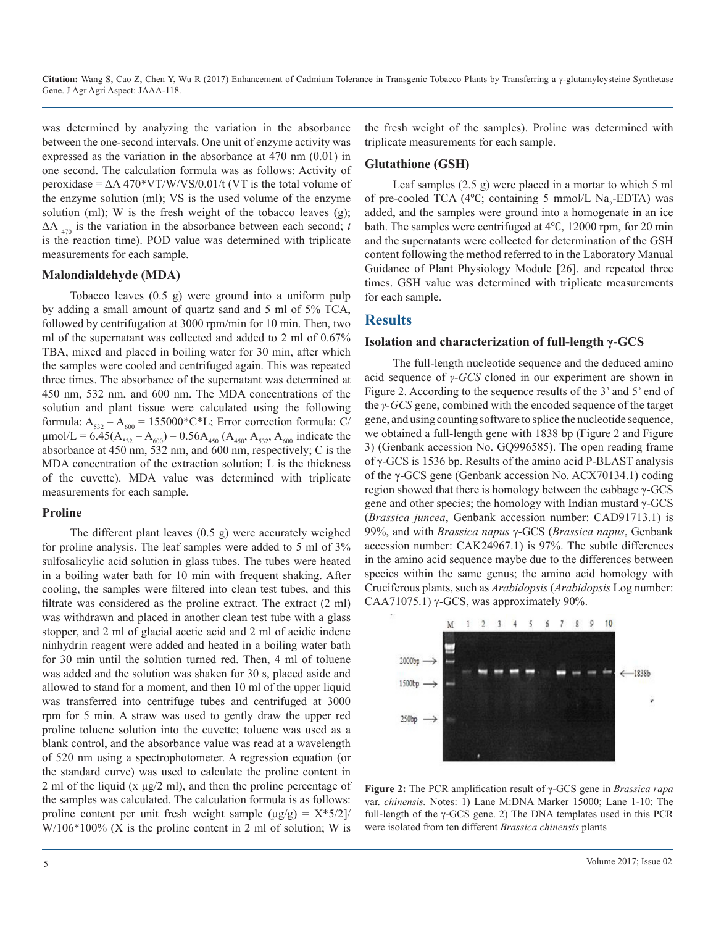was determined by analyzing the variation in the absorbance between the one-second intervals. One unit of enzyme activity was expressed as the variation in the absorbance at 470 nm (0.01) in one second. The calculation formula was as follows: Activity of peroxidase =  $\Delta A$  470\*VT/W/VS/0.01/t (VT is the total volume of the enzyme solution (ml); VS is the used volume of the enzyme solution (ml); W is the fresh weight of the tobacco leaves (g);  $\Delta A$ <sub>470</sub> is the variation in the absorbance between each second; *t* is the reaction time). POD value was determined with triplicate measurements for each sample.

#### **Malondialdehyde (MDA)**

Tobacco leaves (0.5 g) were ground into a uniform pulp by adding a small amount of quartz sand and 5 ml of 5% TCA, followed by centrifugation at 3000 rpm/min for 10 min. Then, two ml of the supernatant was collected and added to 2 ml of 0.67% TBA, mixed and placed in boiling water for 30 min, after which the samples were cooled and centrifuged again. This was repeated three times. The absorbance of the supernatant was determined at 450 nm, 532 nm, and 600 nm. The MDA concentrations of the solution and plant tissue were calculated using the following formula:  $A_{532} - A_{600} = 155000 \text{°C}^*$ L; Error correction formula: C/  $\mu$ mol/L = 6.45(A<sub>532</sub> – A<sub>600</sub>) – 0.56A<sub>450</sub> (A<sub>450</sub>, A<sub>532</sub>, A<sub>600</sub> indicate the absorbance at 450 nm, 532 nm, and 600 nm, respectively; C is the MDA concentration of the extraction solution; L is the thickness of the cuvette). MDA value was determined with triplicate measurements for each sample.

#### **Proline**

The different plant leaves (0.5 g) were accurately weighed for proline analysis. The leaf samples were added to 5 ml of 3% sulfosalicylic acid solution in glass tubes. The tubes were heated in a boiling water bath for 10 min with frequent shaking. After cooling, the samples were filtered into clean test tubes, and this filtrate was considered as the proline extract. The extract (2 ml) was withdrawn and placed in another clean test tube with a glass stopper, and 2 ml of glacial acetic acid and 2 ml of acidic indene ninhydrin reagent were added and heated in a boiling water bath for 30 min until the solution turned red. Then, 4 ml of toluene was added and the solution was shaken for 30 s, placed aside and allowed to stand for a moment, and then 10 ml of the upper liquid was transferred into centrifuge tubes and centrifuged at 3000 rpm for 5 min. A straw was used to gently draw the upper red proline toluene solution into the cuvette; toluene was used as a blank control, and the absorbance value was read at a wavelength of 520 nm using a spectrophotometer. A regression equation (or the standard curve) was used to calculate the proline content in 2 ml of the liquid (x μg/2 ml), and then the proline percentage of the samples was calculated. The calculation formula is as follows: proline content per unit fresh weight sample  $(\mu g/g) = X*5/2$ W/106\*100% (X is the proline content in 2 ml of solution; W is

the fresh weight of the samples). Proline was determined with triplicate measurements for each sample.

#### **Glutathione (GSH)**

Leaf samples (2.5 g) were placed in a mortar to which 5 ml of pre-cooled TCA (4 $°C$ ; containing 5 mmol/L Na<sub>2</sub>-EDTA) was added, and the samples were ground into a homogenate in an ice bath. The samples were centrifuged at 4℃, 12000 rpm, for 20 min and the supernatants were collected for determination of the GSH content following the method referred to in the Laboratory Manual Guidance of Plant Physiology Module [26]. and repeated three times. GSH value was determined with triplicate measurements for each sample.

## **Results**

#### **Isolation and characterization of full-length γ-GCS**

The full-length nucleotide sequence and the deduced amino acid sequence of *γ-GCS* cloned in our experiment are shown in Figure 2. According to the sequence results of the 3' and 5' end of the *γ-GCS* gene, combined with the encoded sequence of the target gene, and using counting software to splice the nucleotide sequence, we obtained a full-length gene with 1838 bp (Figure 2 and Figure 3) (Genbank accession No. GQ996585). The open reading frame of γ-GCS is 1536 bp. Results of the amino acid P-BLAST analysis of the γ-GCS gene (Genbank accession No. ACX70134.1) coding region showed that there is homology between the cabbage γ-GCS gene and other species; the homology with Indian mustard  $\gamma$ -GCS (*Brassica juncea*, Genbank accession number: CAD91713.1) is 99%, and with *Brassica napus* γ-GCS (*Brassica napus*, Genbank accession number: CAK24967.1) is 97%. The subtle differences in the amino acid sequence maybe due to the differences between species within the same genus; the amino acid homology with Cruciferous plants, such as *Arabidopsis* (*Arabidopsis* Log number: CAA71075.1)  $\gamma$ -GCS, was approximately 90%.



**Figure 2:** The PCR amplification result of γ-GCS gene in *Brassica rapa*  var. *chinensis.* Notes: 1) Lane M:DNA Marker 15000; Lane 1-10: The full-length of the  $\gamma$ -GCS gene. 2) The DNA templates used in this PCR were isolated from ten different *Brassica chinensis* plants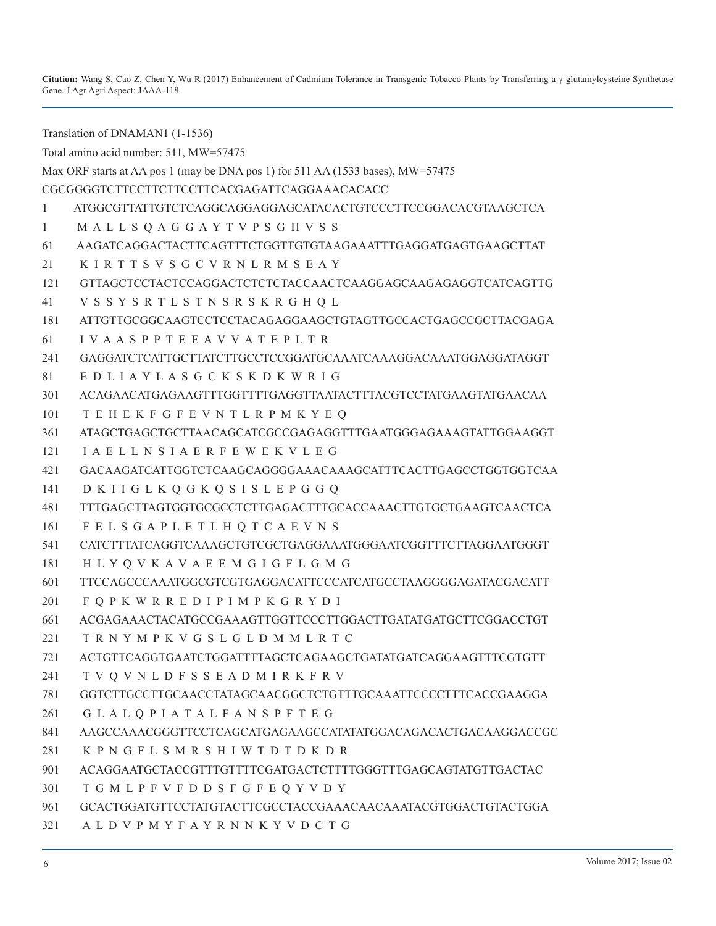Translation of DNAMAN1 (1-1536)

Total amino acid number: 511, MW=57475

Max ORF starts at AA pos 1 (may be DNA pos 1) for 511 AA (1533 bases), MW=57475

CGCGGGGTCTTCCTTCTTCCTTCACGAGATTCAGGAAACACACC

- 1 ATGGCGTTATTGTCTCAGGCAGGAGGAGCATACACTGTCCCTTCCGGACACGTAAGCTCA
- 1 M A L L S Q A G G A Y T V P S G H V S S
- 61 AAGATCAGGACTACTTCAGTTTCTGGTTGTGTAAGAAATTTGAGGATGAGTGAAGCTTAT
- 21 K I R T T S V S G C V R N L R M S E A Y
- 121 GTTAGCTCCTACTCCAGGACTCTCTCTACCAACTCAAGGAGCAAGAGAGGTCATCAGTTG
- 41 V S S Y S R T L S T N S R S K R G H Q L
- 181 ATTGTTGCGGCAAGTCCTCCTACAGAGGAAGCTGTAGTTGCCACTGAGCCGCTTACGAGA

61 I V A A S P P T E E A V V A T E P L T R

- 241 GAGGATCTCATTGCTTATCTTGCCTCCGGATGCAAATCAAAGGACAAATGGAGGATAGGT
- 81 E D L I A Y L A S G C K S K D K W R I G
- 301 ACAGAACATGAGAAGTTTGGTTTTGAGGTTAATACTTTACGTCCTATGAAGTATGAACAA
- 101 T E H E K F G F E V N T L R P M K Y E Q
- 361 ATAGCTGAGCTGCTTAACAGCATCGCCGAGAGGTTTGAATGGGAGAAAGTATTGGAAGGT
- 121 I A E L L N S I A E R F E W E K V L E G
- 421 GACAAGATCATTGGTCTCAAGCAGGGGAAACAAAGCATTTCACTTGAGCCTGGTGGTCAA
- 141 D K I I G L K Q G K Q S I S L E P G G Q
- 481 TTTGAGCTTAGTGGTGCGCCTCTTGAGACTTTGCACCAAACTTGTGCTGAAGTCAACTCA
- 161 F E L S G A P L E T L H Q T C A E V N S
- 541 CATCTTTATCAGGTCAAAGCTGTCGCTGAGGAAATGGGAATCGGTTTCTTAGGAATGGGT
- 181 H L Y Q V K A V A E E M G I G F L G M G
- 601 TTCCAGCCCAAATGGCGTCGTGAGGACATTCCCATCATGCCTAAGGGGAGATACGACATT
- 201 F Q P K W R R E D I P I M P K G R Y D I
- 661 ACGAGAAACTACATGCCGAAAGTTGGTTCCCTTGGACTTGATATGATGCTTCGGACCTGT
- 221 T R N Y M P K V G S L G L D M M L R T C
- 721 ACTGTTCAGGTGAATCTGGATTTTAGCTCAGAAGCTGATATGATCAGGAAGTTTCGTGTT
- 241 T V Q V N L D F S S E A D M I R K F R V
- 781 GGTCTTGCCTTGCAACCTATAGCAACGGCTCTGTTTGCAAATTCCCCTTTCACCGAAGGA
- 261 G L A L Q P I A T A L F A N S P F T E G
- 841 AAGCCAAACGGGTTCCTCAGCATGAGAAGCCATATATGGACAGACACTGACAAGGACCGC
- 281 K P N G F L S M R S H I W T D T D K D R
- 901 ACAGGAATGCTACCGTTTGTTTTCGATGACTCTTTTGGGTTTGAGCAGTATGTTGACTAC
- 301 T G M L P F V F D D S F G F E Q Y V D Y
- 961 GCACTGGATGTTCCTATGTACTTCGCCTACCGAAACAACAAATACGTGGACTGTACTGGA
- 321 A L D V P M Y F A Y R N N K Y V D C T G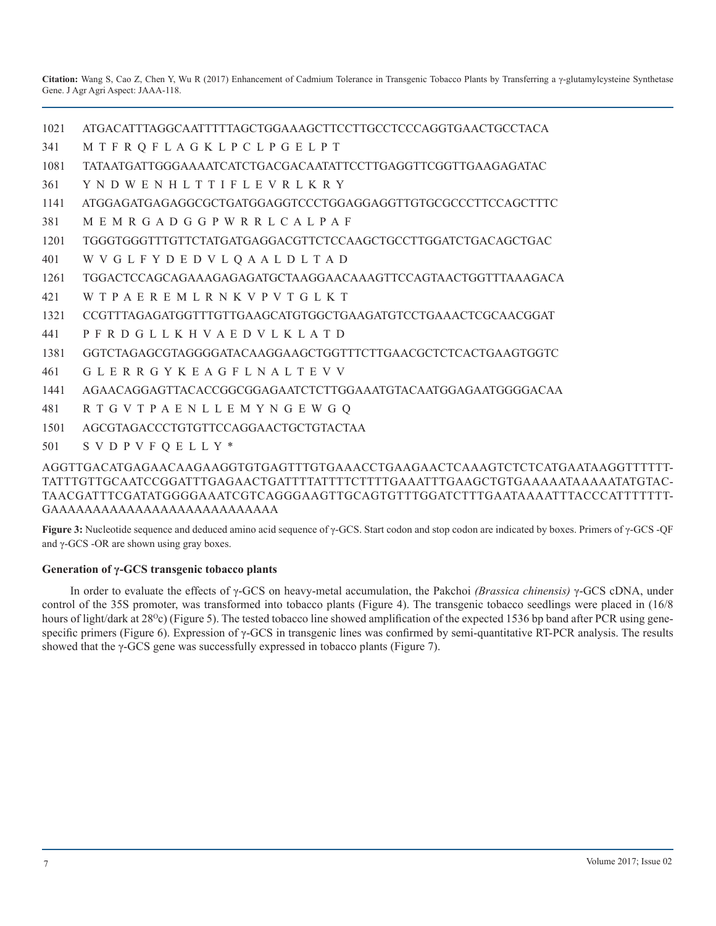- 1021 ATGACATTTAGGCAATTTTTAGCTGGAAAGCTTCCTTGCCTCCCAGGTGAACTGCCTACA
- 341 M T F R Q F L A G K L P C L P G E L P T
- 1081 TATAATGATTGGGAAAATCATCTGACGACAATATTCCTTGAGGTTCGGTTGAAGAGATAC
- 361 Y N D W E N H L T T I F L E V R L K R Y
- 1141 ATGGAGATGAGAGGCGCTGATGGAGGTCCCTGGAGGAGGTTGTGCGCCCTTCCAGCTTTC
- 381 M E M R G A D G G P W R R L C A L P A F
- 1201 TGGGTGGGTTTGTTCTATGATGAGGACGTTCTCCAAGCTGCCTTGGATCTGACAGCTGAC
- 401 W V G L F Y D E D V L Q A A L D L T A D
- 1261 TGGACTCCAGCAGAAAGAGAGATGCTAAGGAACAAAGTTCCAGTAACTGGTTTAAAGACA
- 421 W T P A E R E M L R N K V P V T G L K T
- 1321 CCGTTTAGAGATGGTTTGTTGAAGCATGTGGCTGAAGATGTCCTGAAACTCGCAACGGAT
- 441 P F R D G L L K H V A E D V L K L A T D
- 1381 GGTCTAGAGCGTAGGGGATACAAGGAAGCTGGTTTCTTGAACGCTCTCACTGAAGTGGTC
- 461 G L E R R G Y K E A G F L N A L T E V V
- 1441 AGAACAGGAGTTACACCGGCGGAGAATCTCTTGGAAATGTACAATGGAGAATGGGGACAA
- 481 R T G V T P A E N L L E M Y N G E W G Q
- 1501 AGCGTAGACCCTGTGTTCCAGGAACTGCTGTACTAA
- 501 S V D P V F Q E L L Y \*

#### AGGTTGACATGAGAACAAGAAGGTGTGAGTTTGTGAAACCTGAAGAACTCAAAGTCTCTCATGAATAAGGTTTTTT-TATTTGTTGCAATCCGGATTTGAGAACTGATTTTATTTTCTTTTGAAATTTGAAGCTGTGAAAAATAAAAATATGTAC-TAACGATTTCGATATGGGGAAATCGTCAGGGAAGTTGCAGTGTTTGGATCTTTGAATAAAATTTACCCATTTTTTT-GAAAAAAAAAAAAAAAAAAAAAAAAAAA

**Figure 3:** Nucleotide sequence and deduced amino acid sequence of γ-GCS. Start codon and stop codon are indicated by boxes. Primers of γ-GCS -QF and  $\gamma$ -GCS -OR are shown using gray boxes.

#### **Generation of γ-GCS transgenic tobacco plants**

In order to evaluate the effects of γ-GCS on heavy-metal accumulation, the Pakchoi *(Brassica chinensis)* γ-GCS cDNA, under control of the 35S promoter, was transformed into tobacco plants (Figure 4). The transgenic tobacco seedlings were placed in (16/8 hours of light/dark at 28<sup>o</sup>c) (Figure 5). The tested tobacco line showed amplification of the expected 1536 bp band after PCR using genespecific primers (Figure 6). Expression of γ-GCS in transgenic lines was confirmed by semi-quantitative RT-PCR analysis. The results showed that the γ-GCS gene was successfully expressed in tobacco plants (Figure 7).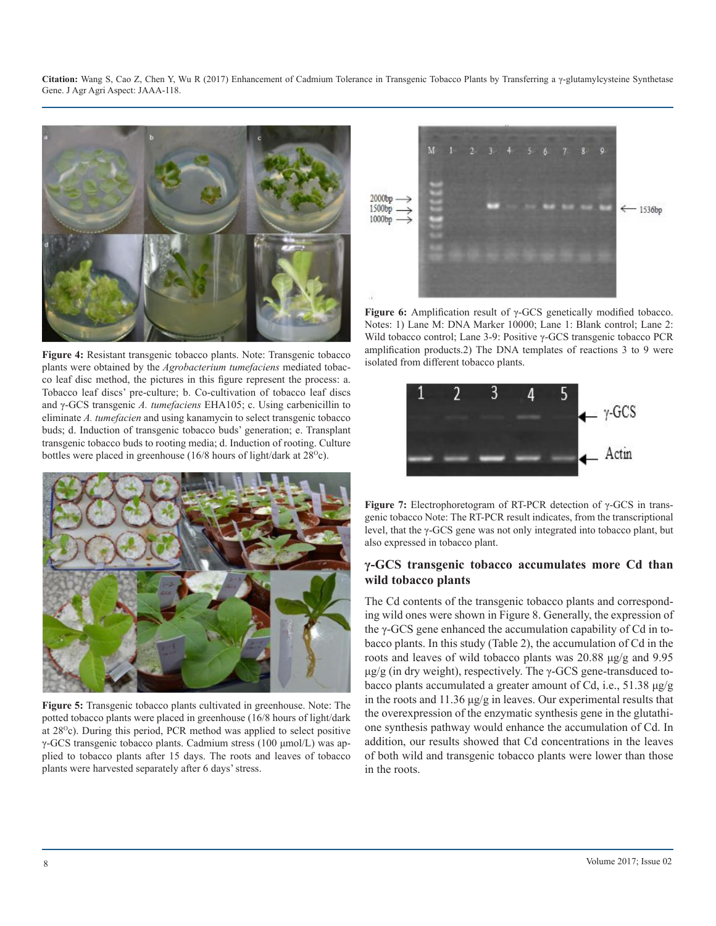

**Figure 4:** Resistant transgenic tobacco plants. Note: Transgenic tobacco plants were obtained by the *Agrobacterium tumefaciens* mediated tobacco leaf disc method, the pictures in this figure represent the process: a. Tobacco leaf discs' pre-culture; b. Co-cultivation of tobacco leaf discs and γ-GCS transgenic *A. tumefaciens* EHA105; c. Using carbenicillin to eliminate *A. tumefacien* and using kanamycin to select transgenic tobacco buds; d. Induction of transgenic tobacco buds' generation; e. Transplant transgenic tobacco buds to rooting media; d. Induction of rooting. Culture bottles were placed in greenhouse (16/8 hours of light/dark at  $28^{\circ}$ c).



**Figure 5:** Transgenic tobacco plants cultivated in greenhouse. Note: The potted tobacco plants were placed in greenhouse (16/8 hours of light/dark at  $28^\circ$ c). During this period, PCR method was applied to select positive γ-GCS transgenic tobacco plants. Cadmium stress (100 μmol/L) was applied to tobacco plants after 15 days. The roots and leaves of tobacco plants were harvested separately after 6 days' stress.



**Figure 6:** Amplification result of γ-GCS genetically modified tobacco. Notes: 1) Lane M: DNA Marker 10000; Lane 1: Blank control; Lane 2: Wild tobacco control; Lane 3-9: Positive γ-GCS transgenic tobacco PCR amplification products.2) The DNA templates of reactions 3 to 9 were isolated from different tobacco plants.



**Figure 7:** Electrophoretogram of RT-PCR detection of γ-GCS in transgenic tobacco Note: The RT-PCR result indicates, from the transcriptional level, that the γ-GCS gene was not only integrated into tobacco plant, but also expressed in tobacco plant.

#### **γ-GCS transgenic tobacco accumulates more Cd than wild tobacco plants**

The Cd contents of the transgenic tobacco plants and corresponding wild ones were shown in Figure 8. Generally, the expression of the γ-GCS gene enhanced the accumulation capability of Cd in tobacco plants. In this study (Table 2), the accumulation of Cd in the roots and leaves of wild tobacco plants was 20.88 μg/g and 9.95  $\mu$ g/g (in dry weight), respectively. The  $\gamma$ -GCS gene-transduced tobacco plants accumulated a greater amount of Cd, i.e., 51.38 μg/g in the roots and 11.36 μg/g in leaves. Our experimental results that the overexpression of the enzymatic synthesis gene in the glutathione synthesis pathway would enhance the accumulation of Cd. In addition, our results showed that Cd concentrations in the leaves of both wild and transgenic tobacco plants were lower than those in the roots.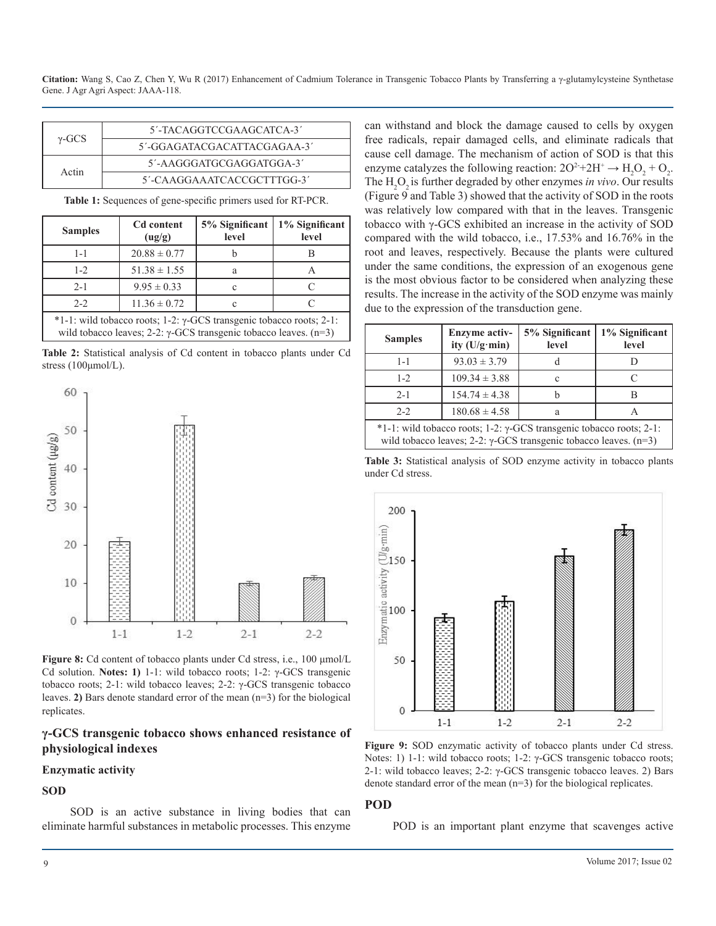| $\gamma$ -GCS | 5'-TACAGGTCCGAAGCATCA-3'    |
|---------------|-----------------------------|
|               | 5'-GGAGATACGACATTACGAGAA-3' |
| Actin         | 5'-AAGGGATGCGAGGATGGA-3'    |
|               | 5'-CAAGGAAATCACCGCTTTGG-3'  |

**Table 1:** Sequences of gene-specific primers used for RT-PCR.

| <b>Samples</b>                                                                                                                                                | <b>Cd</b> content<br>(ug/g) | 5% Significant<br>level | 1% Significant<br>level |
|---------------------------------------------------------------------------------------------------------------------------------------------------------------|-----------------------------|-------------------------|-------------------------|
| $1 - 1$                                                                                                                                                       | $20.88 \pm 0.77$            |                         |                         |
| $1 - 2$                                                                                                                                                       | $51.38 \pm 1.55$            | a                       |                         |
| $2 - 1$                                                                                                                                                       | $9.95 \pm 0.33$             | c                       |                         |
| $2 - 2$                                                                                                                                                       | $11.36 \pm 0.72$            | c                       |                         |
| $*1-1$ : wild tobacco roots; 1-2: $\gamma$ -GCS transgenic tobacco roots; 2-1:<br>wild tobacco leaves; $2-2$ : $\gamma$ -GCS transgenic tobacco leaves. (n=3) |                             |                         |                         |

**Table 2:** Statistical analysis of Cd content in tobacco plants under Cd stress (100μmol/L).



**Figure 8:** Cd content of tobacco plants under Cd stress, i.e., 100 μmol/L Cd solution. **Notes: 1)** 1-1: wild tobacco roots; 1-2: γ-GCS transgenic tobacco roots; 2-1: wild tobacco leaves; 2-2: γ-GCS transgenic tobacco leaves. **2)** Bars denote standard error of the mean (n=3) for the biological replicates.

#### **γ-GCS transgenic tobacco shows enhanced resistance of physiological indexes**

#### **Enzymatic activity**

#### **SOD**

SOD is an active substance in living bodies that can eliminate harmful substances in metabolic processes. This enzyme can withstand and block the damage caused to cells by oxygen free radicals, repair damaged cells, and eliminate radicals that cause cell damage. The mechanism of action of SOD is that this enzyme catalyzes the following reaction:  $2O^{2+}2H^{+} \rightarrow H_{2}O_{2} + O_{2}$ . The H<sub>2</sub>O<sub>2</sub> is further degraded by other enzymes *in vivo*. Our results (Figure 9 and Table 3) showed that the activity of SOD in the roots was relatively low compared with that in the leaves. Transgenic tobacco with  $γ$ -GCS exhibited an increase in the activity of SOD compared with the wild tobacco, i.e., 17.53% and 16.76% in the root and leaves, respectively. Because the plants were cultured under the same conditions, the expression of an exogenous gene is the most obvious factor to be considered when analyzing these results. The increase in the activity of the SOD enzyme was mainly due to the expression of the transduction gene.

| <b>Samples</b>                                                                                                                                                | <b>Enzyme activ-</b><br>ity $(U/g \cdot min)$ | 5% Significant<br>level | 1% Significant<br>level |
|---------------------------------------------------------------------------------------------------------------------------------------------------------------|-----------------------------------------------|-------------------------|-------------------------|
| $1 - 1$                                                                                                                                                       | $93.03 \pm 3.79$                              | d                       |                         |
| $1 - 2$                                                                                                                                                       | $109.34 \pm 3.88$                             | c                       |                         |
| $2 - 1$                                                                                                                                                       | $154.74 \pm 4.38$                             | h                       | R                       |
| $2 - 2$                                                                                                                                                       | $180.68 \pm 4.58$                             | a                       | А                       |
| $*1-1$ : wild tobacco roots; 1-2: $\gamma$ -GCS transgenic tobacco roots; 2-1:<br>wild tobacco leaves; $2-2$ : $\gamma$ -GCS transgenic tobacco leaves. (n=3) |                                               |                         |                         |

**Table 3:** Statistical analysis of SOD enzyme activity in tobacco plants under Cd stress.



**Figure 9:** SOD enzymatic activity of tobacco plants under Cd stress. Notes: 1) 1-1: wild tobacco roots; 1-2: γ-GCS transgenic tobacco roots; 2-1: wild tobacco leaves; 2-2: γ-GCS transgenic tobacco leaves. 2) Bars denote standard error of the mean (n=3) for the biological replicates.

#### **POD**

POD is an important plant enzyme that scavenges active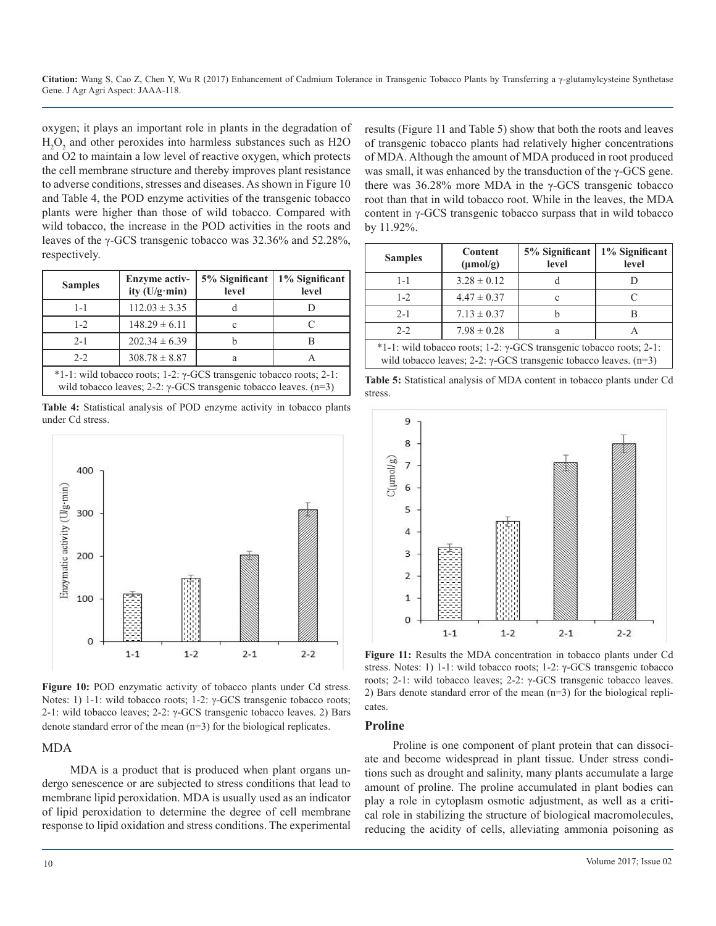oxygen; it plays an important role in plants in the degradation of  $H<sub>2</sub>O<sub>2</sub>$  and other peroxides into harmless substances such as H2O and O2 to maintain a low level of reactive oxygen, which protects the cell membrane structure and thereby improves plant resistance to adverse conditions, stresses and diseases. As shown in Figure 10 and Table 4, the POD enzyme activities of the transgenic tobacco plants were higher than those of wild tobacco. Compared with wild tobacco, the increase in the POD activities in the roots and leaves of the γ-GCS transgenic tobacco was 32.36% and 52.28%, respectively.

| <b>Enzyme activ-</b><br>ity $(U/g \cdot min)$ | 5% Significant<br>level | 1% Significant<br>level |
|-----------------------------------------------|-------------------------|-------------------------|
| $112.03 \pm 3.35$                             |                         |                         |
| $148.29 \pm 6.11$                             | c                       |                         |
| $202.34 \pm 6.39$                             |                         |                         |
| $308.78 \pm 8.87$                             | а                       |                         |
|                                               |                         |                         |

\*1-1: wild tobacco roots; 1-2: γ-GCS transgenic tobacco roots; 2-1: wild tobacco leaves; 2-2: γ-GCS transgenic tobacco leaves.  $(n=3)$ 

**Table 4:** Statistical analysis of POD enzyme activity in tobacco plants under Cd stress.



**Figure 10:** POD enzymatic activity of tobacco plants under Cd stress. Notes: 1) 1-1: wild tobacco roots; 1-2: γ-GCS transgenic tobacco roots; 2-1: wild tobacco leaves; 2-2: γ-GCS transgenic tobacco leaves. 2) Bars denote standard error of the mean (n=3) for the biological replicates.

#### MDA

MDA is a product that is produced when plant organs undergo senescence or are subjected to stress conditions that lead to membrane lipid peroxidation. MDA is usually used as an indicator of lipid peroxidation to determine the degree of cell membrane response to lipid oxidation and stress conditions. The experimental results (Figure 11 and Table 5) show that both the roots and leaves of transgenic tobacco plants had relatively higher concentrations of MDA. Although the amount of MDA produced in root produced was small, it was enhanced by the transduction of the γ-GCS gene. there was 36.28% more MDA in the γ-GCS transgenic tobacco root than that in wild tobacco root. While in the leaves, the MDA content in γ-GCS transgenic tobacco surpass that in wild tobacco by 11.92%.

| <b>Samples</b>                                                                                                                                                | <b>Content</b><br>$(\mu mol/g)$ | 5% Significant<br>level | 1% Significant<br>level |  |
|---------------------------------------------------------------------------------------------------------------------------------------------------------------|---------------------------------|-------------------------|-------------------------|--|
| $1 - 1$                                                                                                                                                       | $3.28 \pm 0.12$                 | d                       |                         |  |
| $1 - 2$                                                                                                                                                       | $4.47 \pm 0.37$                 | $\mathbf c$             |                         |  |
| $2 - 1$                                                                                                                                                       | $7.13 \pm 0.37$                 | h                       |                         |  |
| $2 - 2$                                                                                                                                                       | $7.98 \pm 0.28$                 | a                       |                         |  |
| $*1-1$ : wild tobacco roots; 1-2: $\gamma$ -GCS transgenic tobacco roots; 2-1:<br>wild tobacco leaves; $2-2$ : $\gamma$ -GCS transgenic tobacco leaves. (n=3) |                                 |                         |                         |  |

**Table 5:** Statistical analysis of MDA content in tobacco plants under Cd stress.



**Figure 11:** Results the MDA concentration in tobacco plants under Cd stress. Notes: 1) 1-1: wild tobacco roots; 1-2: γ-GCS transgenic tobacco roots; 2-1: wild tobacco leaves; 2-2: γ-GCS transgenic tobacco leaves. 2) Bars denote standard error of the mean (n=3) for the biological replicates.

#### **Proline**

Proline is one component of plant protein that can dissociate and become widespread in plant tissue. Under stress conditions such as drought and salinity, many plants accumulate a large amount of proline. The proline accumulated in plant bodies can play a role in cytoplasm osmotic adjustment, as well as a critical role in stabilizing the structure of biological macromolecules, reducing the acidity of cells, alleviating ammonia poisoning as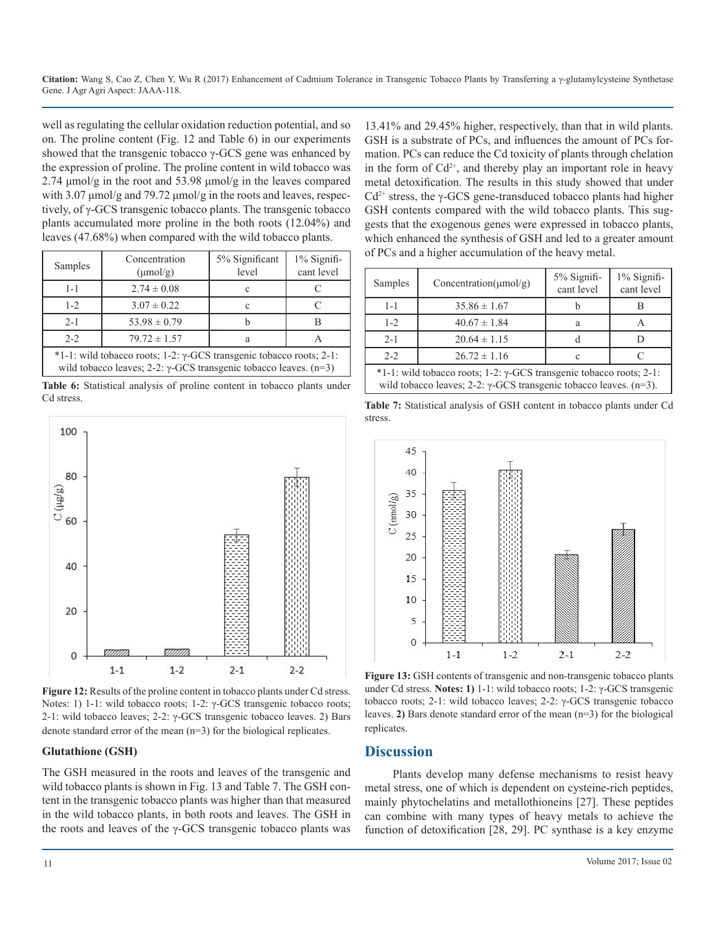well as regulating the cellular oxidation reduction potential, and so on. The proline content (Fig. 12 and Table 6) in our experiments showed that the transgenic tobacco  $γ$ -GCS gene was enhanced by the expression of proline. The proline content in wild tobacco was 2.74 μmol/g in the root and 53.98 μmol/g in the leaves compared with 3.07 μmol/g and 79.72 μmol/g in the roots and leaves, respectively, of γ-GCS transgenic tobacco plants. The transgenic tobacco plants accumulated more proline in the both roots (12.04%) and leaves (47.68%) when compared with the wild tobacco plants.

| Samples                                                                                                                                                       | Concentration<br>$(\mu \text{mol/g})$ | 5% Significant<br>level | $1\%$ Signifi-<br>cant level |  |
|---------------------------------------------------------------------------------------------------------------------------------------------------------------|---------------------------------------|-------------------------|------------------------------|--|
| $1 - 1$                                                                                                                                                       | $2.74 \pm 0.08$                       | c                       |                              |  |
| $1 - 2$                                                                                                                                                       | $3.07 \pm 0.22$                       | $\mathcal{C}$           | $\subset$                    |  |
| $2 - 1$                                                                                                                                                       | $53.98 \pm 0.79$                      |                         | R                            |  |
| $2 - 2$                                                                                                                                                       | $79.72 \pm 1.57$                      | a                       |                              |  |
| $*1-1$ : wild tobacco roots; 1-2: $\gamma$ -GCS transgenic tobacco roots; 2-1:<br>wild tobacco leaves; $2-2$ : $\gamma$ -GCS transgenic tobacco leaves. (n=3) |                                       |                         |                              |  |

**Table 6:** Statistical analysis of proline content in tobacco plants under Cd stress.



**Figure 12:** Results of the proline content in tobacco plants under Cd stress. Notes: 1) 1-1: wild tobacco roots; 1-2: γ-GCS transgenic tobacco roots; 2-1: wild tobacco leaves; 2-2: γ-GCS transgenic tobacco leaves. 2) Bars denote standard error of the mean (n=3) for the biological replicates.

#### **Glutathione (GSH)**

The GSH measured in the roots and leaves of the transgenic and wild tobacco plants is shown in Fig. 13 and Table 7. The GSH content in the transgenic tobacco plants was higher than that measured in the wild tobacco plants, in both roots and leaves. The GSH in the roots and leaves of the  $γ$ -GCS transgenic tobacco plants was

13.41% and 29.45% higher, respectively, than that in wild plants. GSH is a substrate of PCs, and influences the amount of PCs formation. PCs can reduce the Cd toxicity of plants through chelation in the form of  $Cd^{2+}$ , and thereby play an important role in heavy metal detoxification. The results in this study showed that under  $Cd<sup>2+</sup>$  stress, the  $\gamma$ -GCS gene-transduced tobacco plants had higher GSH contents compared with the wild tobacco plants. This suggests that the exogenous genes were expressed in tobacco plants, which enhanced the synthesis of GSH and led to a greater amount of PCs and a higher accumulation of the heavy metal.

| Samples                                                                           | Concentration( $\mu$ mol/g) | $5\%$ Signifi-<br>cant level | 1% Signifi-<br>cant level |
|-----------------------------------------------------------------------------------|-----------------------------|------------------------------|---------------------------|
| $1 - 1$                                                                           | $35.86 \pm 1.67$            |                              |                           |
| $1 - 2$                                                                           | $40.67 \pm 1.84$            | a                            |                           |
| $2 - 1$                                                                           | $20.64 \pm 1.15$            |                              |                           |
| $2 - 2$                                                                           | $26.72 \pm 1.16$            | C                            |                           |
| $*1$ $\cdot$ wild to base coate $1.2$ $\cdot$ GCS transgrapic to base coate $2.1$ |                             |                              |                           |

1-1: wild tobacco roots; 1-2:  $\gamma$ -GCS transgenic tobacco roots; 2-1: wild tobacco leaves; 2-2: γ-GCS transgenic tobacco leaves.  $(n=3)$ .

**Table 7:** Statistical analysis of GSH content in tobacco plants under Cd stress.



**Figure 13:** GSH contents of transgenic and non-transgenic tobacco plants under Cd stress. **Notes: 1)** 1-1: wild tobacco roots; 1-2: γ-GCS transgenic tobacco roots; 2-1: wild tobacco leaves; 2-2: γ-GCS transgenic tobacco leaves. **2)** Bars denote standard error of the mean (n=3) for the biological replicates.

## **Discussion**

Plants develop many defense mechanisms to resist heavy metal stress, one of which is dependent on cysteine-rich peptides, mainly phytochelatins and metallothioneins [27]. These peptides can combine with many types of heavy metals to achieve the function of detoxification [28, 29]. PC synthase is a key enzyme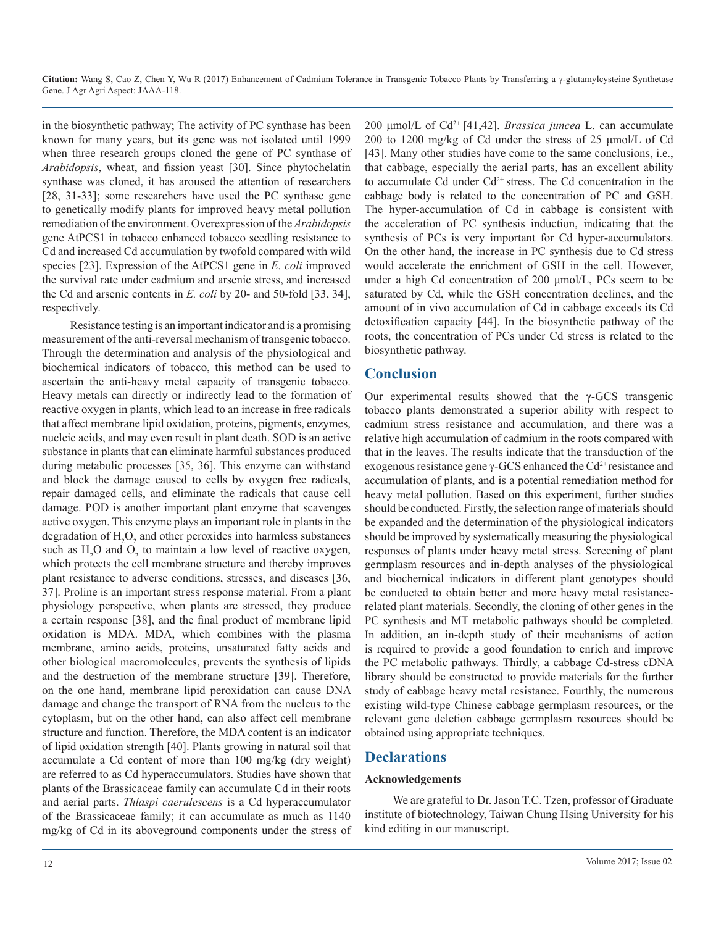in the biosynthetic pathway; The activity of PC synthase has been known for many years, but its gene was not isolated until 1999 when three research groups cloned the gene of PC synthase of *Arabidopsis*, wheat, and fission yeast [30]. Since phytochelatin synthase was cloned, it has aroused the attention of researchers [28, 31-33]; some researchers have used the PC synthase gene to genetically modify plants for improved heavy metal pollution remediation of the environment. Overexpression of the *Arabidopsis* gene AtPCS1 in tobacco enhanced tobacco seedling resistance to Cd and increased Cd accumulation by twofold compared with wild species [23]. Expression of the AtPCS1 gene in *E. coli* improved the survival rate under cadmium and arsenic stress, and increased the Cd and arsenic contents in *E. coli* by 20- and 50-fold [33, 34], respectively.

Resistance testing is an important indicator and is a promising measurement of the anti-reversal mechanism of transgenic tobacco. Through the determination and analysis of the physiological and biochemical indicators of tobacco, this method can be used to ascertain the anti-heavy metal capacity of transgenic tobacco. Heavy metals can directly or indirectly lead to the formation of reactive oxygen in plants, which lead to an increase in free radicals that affect membrane lipid oxidation, proteins, pigments, enzymes, nucleic acids, and may even result in plant death. SOD is an active substance in plants that can eliminate harmful substances produced during metabolic processes [35, 36]. This enzyme can withstand and block the damage caused to cells by oxygen free radicals, repair damaged cells, and eliminate the radicals that cause cell damage. POD is another important plant enzyme that scavenges active oxygen. This enzyme plays an important role in plants in the degradation of  $H_2O_2$  and other peroxides into harmless substances such as  $H_2O$  and  $O_2$  to maintain a low level of reactive oxygen, which protects the cell membrane structure and thereby improves plant resistance to adverse conditions, stresses, and diseases [36, 37]. Proline is an important stress response material. From a plant physiology perspective, when plants are stressed, they produce a certain response [38], and the final product of membrane lipid oxidation is MDA. MDA, which combines with the plasma membrane, amino acids, proteins, unsaturated fatty acids and other biological macromolecules, prevents the synthesis of lipids and the destruction of the membrane structure [39]. Therefore, on the one hand, membrane lipid peroxidation can cause DNA damage and change the transport of RNA from the nucleus to the cytoplasm, but on the other hand, can also affect cell membrane structure and function. Therefore, the MDA content is an indicator of lipid oxidation strength [40]. Plants growing in natural soil that accumulate a Cd content of more than 100 mg/kg (dry weight) are referred to as Cd hyperaccumulators. Studies have shown that plants of the Brassicaceae family can accumulate Cd in their roots and aerial parts. *Thlaspi caerulescens* is a Cd hyperaccumulator of the Brassicaceae family; it can accumulate as much as 1140 mg/kg of Cd in its aboveground components under the stress of

200 μmol/L of Cd2+ [41,42]. *Brassica juncea* L. can accumulate 200 to 1200 mg/kg of Cd under the stress of 25 μmol/L of Cd [43]. Many other studies have come to the same conclusions, i.e., that cabbage, especially the aerial parts, has an excellent ability to accumulate Cd under  $Cd^{2+}$  stress. The Cd concentration in the cabbage body is related to the concentration of PC and GSH. The hyper-accumulation of Cd in cabbage is consistent with the acceleration of PC synthesis induction, indicating that the synthesis of PCs is very important for Cd hyper-accumulators. On the other hand, the increase in PC synthesis due to Cd stress would accelerate the enrichment of GSH in the cell. However, under a high Cd concentration of 200 μmol/L, PCs seem to be saturated by Cd, while the GSH concentration declines, and the amount of in vivo accumulation of Cd in cabbage exceeds its Cd detoxification capacity [44]. In the biosynthetic pathway of the roots, the concentration of PCs under Cd stress is related to the biosynthetic pathway.

## **Conclusion**

Our experimental results showed that the γ-GCS transgenic tobacco plants demonstrated a superior ability with respect to cadmium stress resistance and accumulation, and there was a relative high accumulation of cadmium in the roots compared with that in the leaves. The results indicate that the transduction of the exogenous resistance gene  $\gamma$ -GCS enhanced the Cd<sup>2+</sup> resistance and accumulation of plants, and is a potential remediation method for heavy metal pollution. Based on this experiment, further studies should be conducted. Firstly, the selection range of materials should be expanded and the determination of the physiological indicators should be improved by systematically measuring the physiological responses of plants under heavy metal stress. Screening of plant germplasm resources and in-depth analyses of the physiological and biochemical indicators in different plant genotypes should be conducted to obtain better and more heavy metal resistancerelated plant materials. Secondly, the cloning of other genes in the PC synthesis and MT metabolic pathways should be completed. In addition, an in-depth study of their mechanisms of action is required to provide a good foundation to enrich and improve the PC metabolic pathways. Thirdly, a cabbage Cd-stress cDNA library should be constructed to provide materials for the further study of cabbage heavy metal resistance. Fourthly, the numerous existing wild-type Chinese cabbage germplasm resources, or the relevant gene deletion cabbage germplasm resources should be obtained using appropriate techniques.

## **Declarations**

#### **Acknowledgements**

We are grateful to Dr. Jason T.C. Tzen, professor of Graduate institute of biotechnology, Taiwan Chung Hsing University for his kind editing in our manuscript.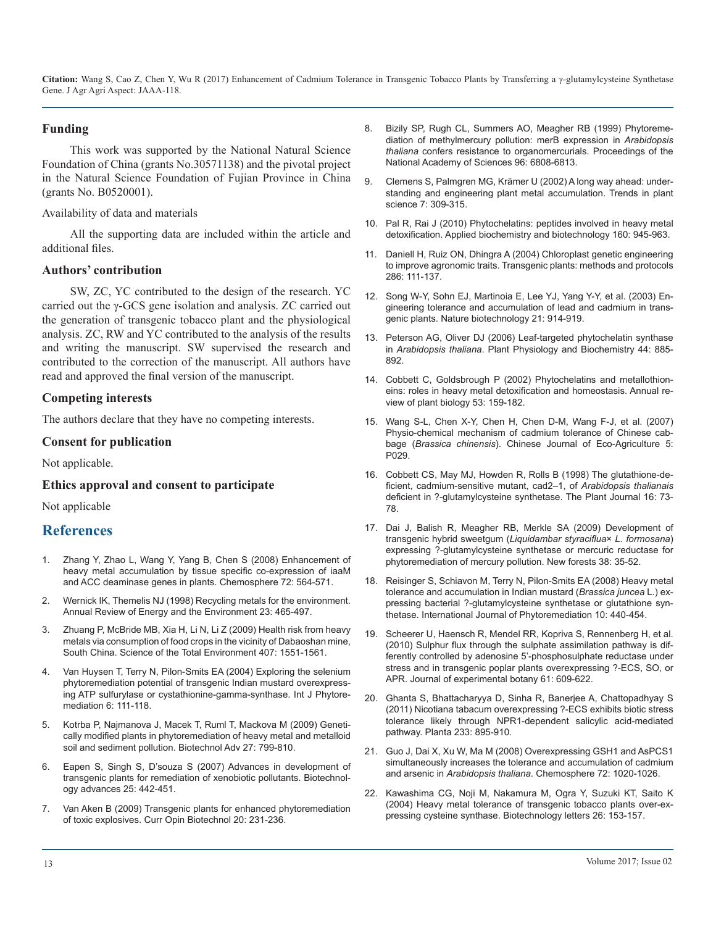#### **Funding**

This work was supported by the National Natural Science Foundation of China (grants No.30571138) and the pivotal project in the Natural Science Foundation of Fujian Province in China (grants No. B0520001).

#### Availability of data and materials

[All the supporting data are included within the article and](http://link.springer.com/article/10.1007/s12010-009-8565-4)  additional files.

#### **Authors' contribution**

SW, ZC, YC contributed to the design of the research. YC carried out the γ-GCS gene isolation and analysis. ZC carried out the generation of transgenic tobacco plant and the physiological analysis. ZC, RW and YC contributed to the analysis of the results [and writing the manuscript. SW supervised the research and](http://www.sciencedirect.com/science/article/pii/S0981942806001768)  contributed to the correction of the manuscript. All authors have read and approved the final version of the manuscript.

#### **Competing interests**

The authors declare that they have no competing interests.

#### **Consent for publication**

Not applicable.

#### **[Ethics approval and consent to participate](http://onlinelibrary.wiley.com/doi/10.1046/j.1365-313x.1998.00262.x/full)**

Not applicable

#### **References**

- 1. [Zhang Y, Zhao L, Wang Y, Yang B, Chen S \(2008\) Enhancement of](http://www.sciencedirect.com/science/article/pii/S0045653508003949)  [heavy metal accumulation by tissue specific co-expression of iaaM](http://www.sciencedirect.com/science/article/pii/S0045653508003949)  [and ACC deaminase genes in plants. Chemosphere 72: 564-571](http://www.sciencedirect.com/science/article/pii/S0045653508003949).
- 2. [Wernick IK, Themelis NJ \(1998\) Recycling metals for the environment.](http://www.annualreviews.org/doi/abs/10.1146/annurev.energy.23.1.465)  [Annual Review of Energy and the Environment 23: 465-497](http://www.annualreviews.org/doi/abs/10.1146/annurev.energy.23.1.465).
- 3. [Zhuang P, McBride MB, Xia H, Li N, Li Z \(2009\) Health risk from heavy](http://www.sciencedirect.com/science/article/pii/S0048969708011121)  [metals via consumption of food crops in the vicinity of Dabaoshan mine,](http://www.sciencedirect.com/science/article/pii/S0048969708011121)  [South China. Science of the Total Environment 407: 1551-1561](http://www.sciencedirect.com/science/article/pii/S0048969708011121).
- 4. [Van Huysen T, Terry N, Pilon-Smits EA \(2004\) Exploring the selenium](http://www.ncbi.nlm.nih.gov/pubmed/)  [phytoremediation potential of transgenic Indian mustard overexpress](http://www.ncbi.nlm.nih.gov/pubmed/)[ing ATP sulfurylase or cystathionine-gamma-synthase. Int J Phytore](http://www.ncbi.nlm.nih.gov/pubmed/)[mediation 6: 111-118](http://www.ncbi.nlm.nih.gov/pubmed/).
- 5. [Kotrba P, Najmanova J, Macek T, Ruml T, Mackova M \(2009\) Geneti](http://www.ncbi.nlm.nih.gov/pubmed/)[cally modified plants in phytoremediation of heavy metal and metalloid](http://www.ncbi.nlm.nih.gov/pubmed/)  [soil and sediment pollution. Biotechnol Adv 27: 799-810](http://www.ncbi.nlm.nih.gov/pubmed/).
- 6. [Eapen S, Singh S, D'souza S \(2007\) Advances in development of](http://www.sciencedirect.com/science/article/pii/S0734975007000523)  [transgenic plants for remediation of xenobiotic pollutants. Biotechnol](http://www.sciencedirect.com/science/article/pii/S0734975007000523)[ogy advances 25: 442-451](http://www.sciencedirect.com/science/article/pii/S0734975007000523).
- 7. [Van Aken B \(2009\) Transgenic plants for enhanced phytoremediation](http://www.ncbi.nlm.nih.gov/pubmed/)  [of toxic explosives. Curr Opin Biotechnol 20: 231-236](http://www.ncbi.nlm.nih.gov/pubmed/).
- 8. [Bizily SP, Rugh CL, Summers AO, Meagher RB \(1999\) Phytoreme](http://www.pnas.org/content/96/12/6808.short)[diation of methylmercury pollution: merB expression in](http://www.pnas.org/content/96/12/6808.short) *Arabidopsis thaliana* [confers resistance to organomercurials. Proceedings of the](http://www.pnas.org/content/96/12/6808.short)  [National Academy of Sciences 96: 6808-6813](http://www.pnas.org/content/96/12/6808.short).
- 9. [Clemens S, Palmgren MG, Krämer U \(2002\) A long way ahead: under](http://www.sciencedirect.com/science/article/pii/S1360138502022951)[standing and engineering plant metal accumulation. Trends in plant](http://www.sciencedirect.com/science/article/pii/S1360138502022951)  [science 7: 309-315](http://www.sciencedirect.com/science/article/pii/S1360138502022951).
- 10. [Pal R, Rai J \(2010\) Phytochelatins: peptides involved in heavy metal](http://link.springer.com/article/10.1007/s12010-009-8565-4)  detoxification. Applied biochemistry and biotechnology 160: 945-963.
- 11. [Daniell H, Ruiz ON, Dhingra A \(2004\) Chloroplast genetic engineering](https://link.springer.com/protocol/10.1385/1-59259-827-7:111)  [to improve agronomic traits. Transgenic plants: methods and protocols](https://link.springer.com/protocol/10.1385/1-59259-827-7:111)  [286: 111-137](https://link.springer.com/protocol/10.1385/1-59259-827-7:111).
- 12. Song W-Y, Sohn EJ, Martinoia E, Lee YJ, Yang Y-Y, et al. (2003) Engineering tolerance and accumulation of lead and cadmium in transgenic plants. Nature biotechnology 21: 914-919.
- 13. [Peterson AG, Oliver DJ \(2006\) Leaf-targeted phytochelatin synthase](http://www.sciencedirect.com/science/article/pii/S0981942806001768)  in *Arabidopsis thaliana*. Plant Physiology and Biochemistry 44: 885- [892](http://www.sciencedirect.com/science/article/pii/S0981942806001768).
- 14. [Cobbett C, Goldsbrough P \(2002\) Phytochelatins and metallothion](http://www.annualreviews.org/doi/abs/10.1146/annurev.arplant.53.100301.135154)[eins: roles in heavy metal detoxification and homeostasis. Annual re](http://www.annualreviews.org/doi/abs/10.1146/annurev.arplant.53.100301.135154)[view of plant biology 53: 159-182](http://www.annualreviews.org/doi/abs/10.1146/annurev.arplant.53.100301.135154).
- 15. [Wang S-L, Chen X-Y, Chen H, Chen D-M, Wang F-J, et al. \(2007\)](http://en.cnki.com.cn/Article_en/CJFDTOTAL-ZGTN200705029.htm)  [Physio-chemical mechanism of cadmium tolerance of Chinese cab](http://en.cnki.com.cn/Article_en/CJFDTOTAL-ZGTN200705029.htm)bage (*Brassica chinensis*[\). Chinese Journal of Eco-Agriculture 5:](http://en.cnki.com.cn/Article_en/CJFDTOTAL-ZGTN200705029.htm)  [P029](http://en.cnki.com.cn/Article_en/CJFDTOTAL-ZGTN200705029.htm).
- 16. [Cobbett CS, May MJ, Howden R, Rolls B \(1998\) The glutathione-de](http://onlinelibrary.wiley.com/doi/10.1046/j.1365-313x.1998.00262.x/full)ficient, cadmium-sensitive mutant, cad2–1, of *Arabidopsis thalianais* [deficient in ?-glutamylcysteine synthetase. The Plant Journal 16: 73-](http://onlinelibrary.wiley.com/doi/10.1046/j.1365-313x.1998.00262.x/full) [78](http://onlinelibrary.wiley.com/doi/10.1046/j.1365-313x.1998.00262.x/full).
- 17. [Dai J, Balish R, Meagher RB, Merkle SA \(2009\) Development of](https://link.springer.com/article/10.1007/s11056-008-9130-7) [transgenic hybrid sweetgum \(](https://link.springer.com/article/10.1007/s11056-008-9130-7)*Liquidambar styraciflua*× *L. formosana*) [expressing ?-glutamylcysteine synthetase or mercuric reductase for](https://link.springer.com/article/10.1007/s11056-008-9130-7) [phytoremediation of mercury pollution. New forests 38: 35-52](https://link.springer.com/article/10.1007/s11056-008-9130-7).
- 18. [Reisinger S, Schiavon M, Terry N, Pilon-Smits EA \(2008\) Heavy metal](http://www.tandfonline.com/doi/abs/10.1080/15226510802100630)  [tolerance and accumulation in Indian mustard \(](http://www.tandfonline.com/doi/abs/10.1080/15226510802100630)*Brassica juncea* L.) ex[pressing bacterial ?-glutamylcysteine synthetase or glutathione syn](http://www.tandfonline.com/doi/abs/10.1080/15226510802100630)[thetase. International Journal of Phytoremediation 10: 440-454](http://www.tandfonline.com/doi/abs/10.1080/15226510802100630).
- 19. [Scheerer U, Haensch R, Mendel RR, Kopriva S, Rennenberg H, et al.](https://academic.oup.com/jxb/article-abstract/61/2/609/618744) [\(2010\) Sulphur flux through the sulphate assimilation pathway is dif](https://academic.oup.com/jxb/article-abstract/61/2/609/618744)[ferently controlled by adenosine 5'-phosphosulphate reductase under](https://academic.oup.com/jxb/article-abstract/61/2/609/618744)  [stress and in transgenic poplar plants overexpressing ?-ECS, SO, or](https://academic.oup.com/jxb/article-abstract/61/2/609/618744)  [APR. Journal of experimental botany 61: 609-622](https://academic.oup.com/jxb/article-abstract/61/2/609/618744).
- 20. [Ghanta S, Bhattacharyya D, Sinha R, Banerjee A, Chattopadhyay S](http://link.springer.com/article/10.1007/s00425-011-1349-4)  [\(2011\) Nicotiana tabacum overexpressing ?-ECS exhibits biotic stress](http://link.springer.com/article/10.1007/s00425-011-1349-4)  [tolerance likely through NPR1-dependent salicylic acid-mediated](http://link.springer.com/article/10.1007/s00425-011-1349-4)  [pathway. Planta 233: 895-910](http://link.springer.com/article/10.1007/s00425-011-1349-4).
- 21. [Guo J, Dai X, Xu W, Ma M \(2008\) Overexpressing GSH1 and AsPCS1](http://www.sciencedirect.com/science/article/pii/S0045653508004761)  [simultaneously increases the tolerance and accumulation of cadmium](http://www.sciencedirect.com/science/article/pii/S0045653508004761) and arsenic in *Arabidopsis thaliana*[. Chemosphere 72: 1020-1026](http://www.sciencedirect.com/science/article/pii/S0045653508004761).
- 22. [Kawashima CG, Noji M, Nakamura M, Ogra Y, Suzuki KT, Saito K](http://www.springerlink.com/index/H85L2N2W6526K75X.pdf)  [\(2004\) Heavy metal tolerance of transgenic tobacco plants over-ex](http://www.springerlink.com/index/H85L2N2W6526K75X.pdf)[pressing cysteine synthase. Biotechnology letters 26: 153-157](http://www.springerlink.com/index/H85L2N2W6526K75X.pdf).